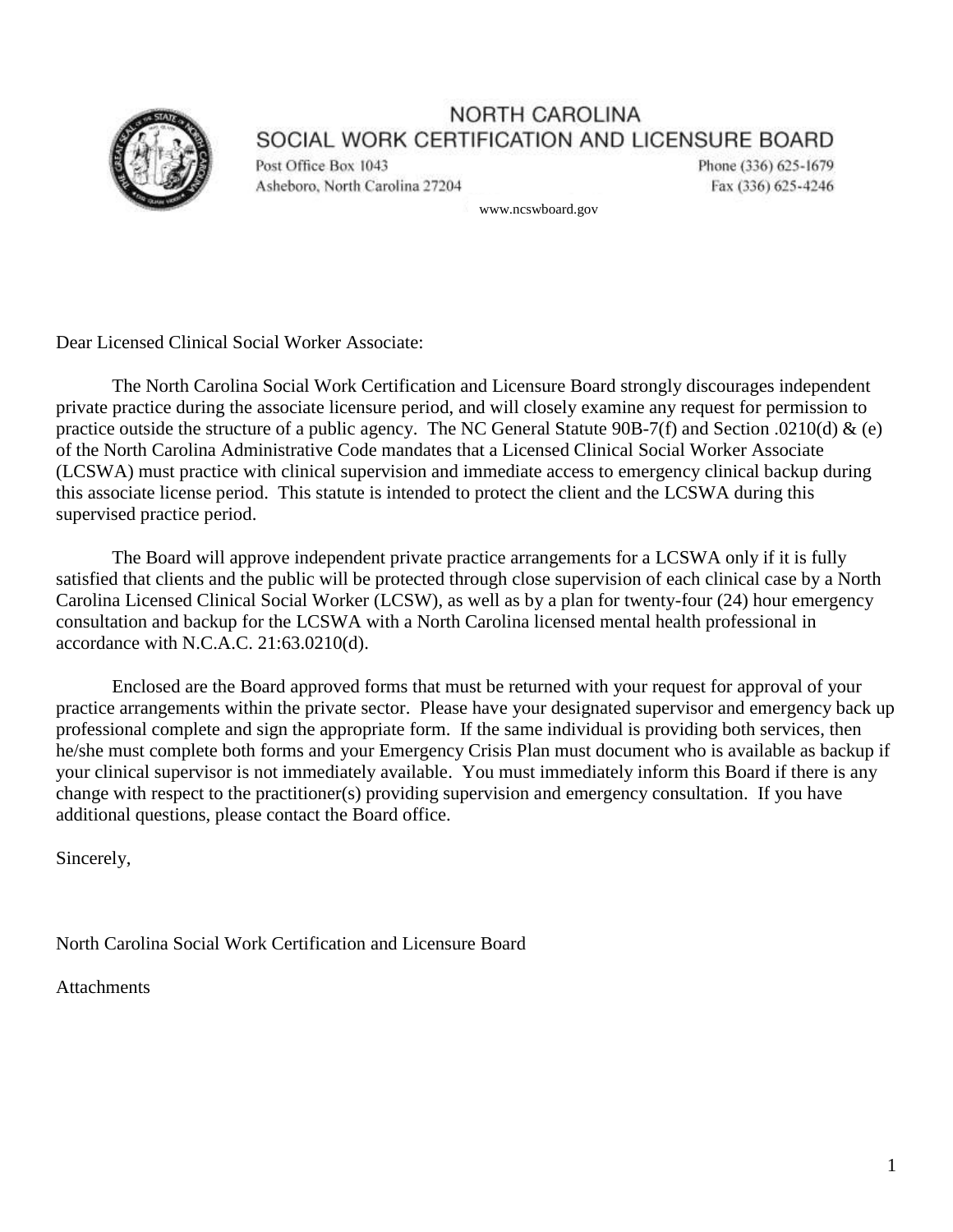

Post Office Box 1043 Asheboro, North Carolina 27204 Phone (336) 625-1679 Fax (336) 625-4246

www.ncswboard.gov

Dear Licensed Clinical Social Worker Associate:

The North Carolina Social Work Certification and Licensure Board strongly discourages independent private practice during the associate licensure period, and will closely examine any request for permission to practice outside the structure of a public agency. The NC General Statute 90B-7(f) and Section .0210(d) & (e) of the North Carolina Administrative Code mandates that a Licensed Clinical Social Worker Associate (LCSWA) must practice with clinical supervision and immediate access to emergency clinical backup during this associate license period. This statute is intended to protect the client and the LCSWA during this supervised practice period.

The Board will approve independent private practice arrangements for a LCSWA only if it is fully satisfied that clients and the public will be protected through close supervision of each clinical case by a North Carolina Licensed Clinical Social Worker (LCSW), as well as by a plan for twenty-four (24) hour emergency consultation and backup for the LCSWA with a North Carolina licensed mental health professional in accordance with N.C.A.C. 21:63.0210(d).

Enclosed are the Board approved forms that must be returned with your request for approval of your practice arrangements within the private sector. Please have your designated supervisor and emergency back up professional complete and sign the appropriate form. If the same individual is providing both services, then he/she must complete both forms and your Emergency Crisis Plan must document who is available as backup if your clinical supervisor is not immediately available. You must immediately inform this Board if there is any change with respect to the practitioner(s) providing supervision and emergency consultation. If you have additional questions, please contact the Board office.

Sincerely,

North Carolina Social Work Certification and Licensure Board

**Attachments**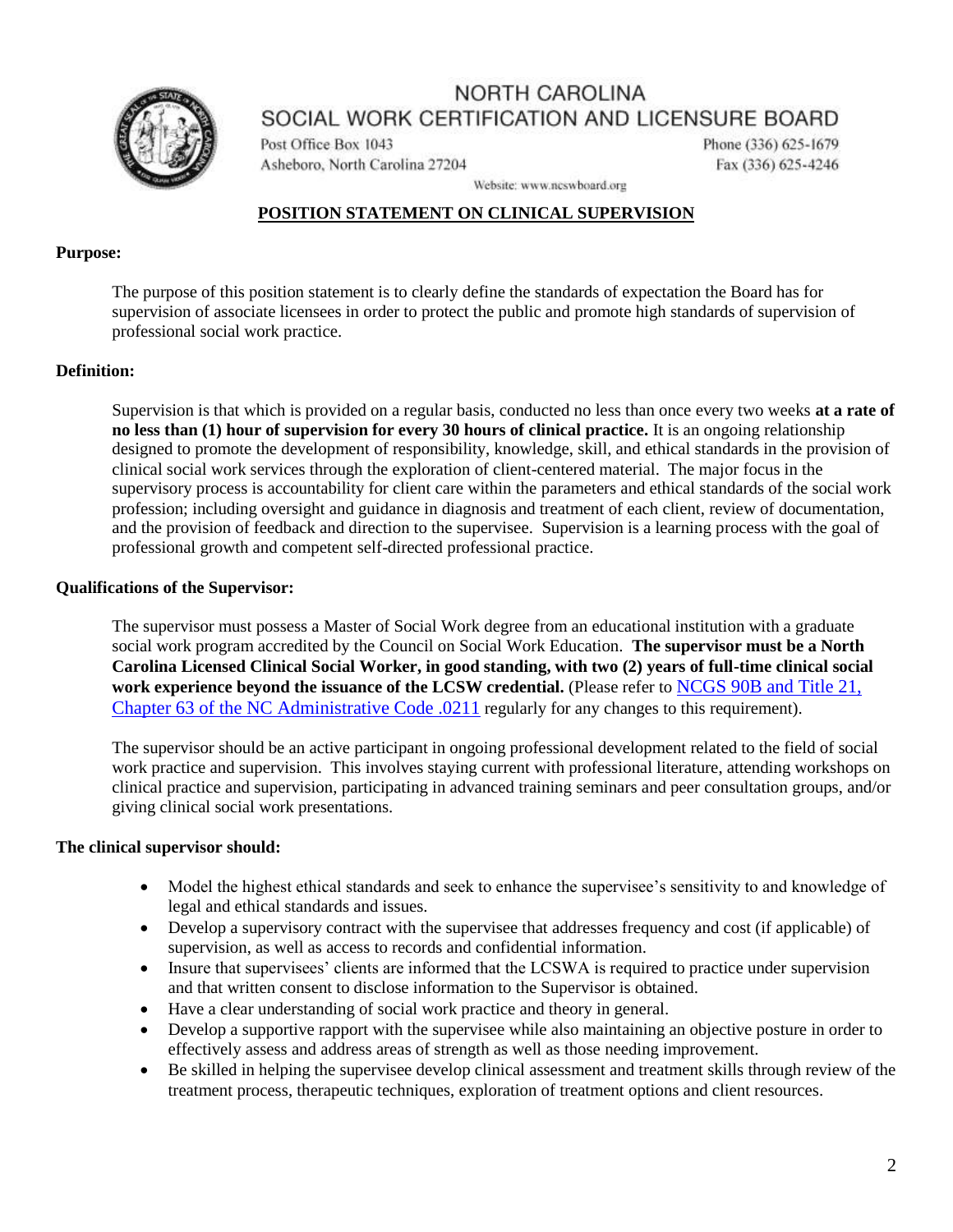

Post Office Box 1043 Asheboro, North Carolina 27204 Phone (336) 625-1679 Fax (336) 625-4246

Website: www.ncswboard.org

## **POSITION STATEMENT ON CLINICAL SUPERVISION**

#### **Purpose:**

The purpose of this position statement is to clearly define the standards of expectation the Board has for supervision of associate licensees in order to protect the public and promote high standards of supervision of professional social work practice.

## **Definition:**

Supervision is that which is provided on a regular basis, conducted no less than once every two weeks **at a rate of no less than (1) hour of supervision for every 30 hours of clinical practice.** It is an ongoing relationship designed to promote the development of responsibility, knowledge, skill, and ethical standards in the provision of clinical social work services through the exploration of client-centered material. The major focus in the supervisory process is accountability for client care within the parameters and ethical standards of the social work profession; including oversight and guidance in diagnosis and treatment of each client, review of documentation, and the provision of feedback and direction to the supervisee. Supervision is a learning process with the goal of professional growth and competent self-directed professional practice.

## **Qualifications of the Supervisor:**

The supervisor must possess a Master of Social Work degree from an educational institution with a graduate social work program accredited by the Council on Social Work Education. **The supervisor must be a North Carolina Licensed Clinical Social Worker, in good standing, with two (2) years of full-time clinical social work experience beyond the issuance of the LCSW credential.** (Please refer to [NCGS 90B and Title 21,](https://ncswboard.org/page/administrative-code.html#.0211)  [Chapter 63 of the NC Administrative Code .0211](https://ncswboard.org/page/administrative-code.html#.0211) regularly for any changes to this requirement).

The supervisor should be an active participant in ongoing professional development related to the field of social work practice and supervision. This involves staying current with professional literature, attending workshops on clinical practice and supervision, participating in advanced training seminars and peer consultation groups, and/or giving clinical social work presentations.

#### **The clinical supervisor should:**

- Model the highest ethical standards and seek to enhance the supervisee's sensitivity to and knowledge of legal and ethical standards and issues.
- Develop a supervisory contract with the supervisee that addresses frequency and cost (if applicable) of supervision, as well as access to records and confidential information.
- Insure that supervisees' clients are informed that the LCSWA is required to practice under supervision and that written consent to disclose information to the Supervisor is obtained.
- Have a clear understanding of social work practice and theory in general.
- Develop a supportive rapport with the supervisee while also maintaining an objective posture in order to effectively assess and address areas of strength as well as those needing improvement.
- Be skilled in helping the supervisee develop clinical assessment and treatment skills through review of the treatment process, therapeutic techniques, exploration of treatment options and client resources.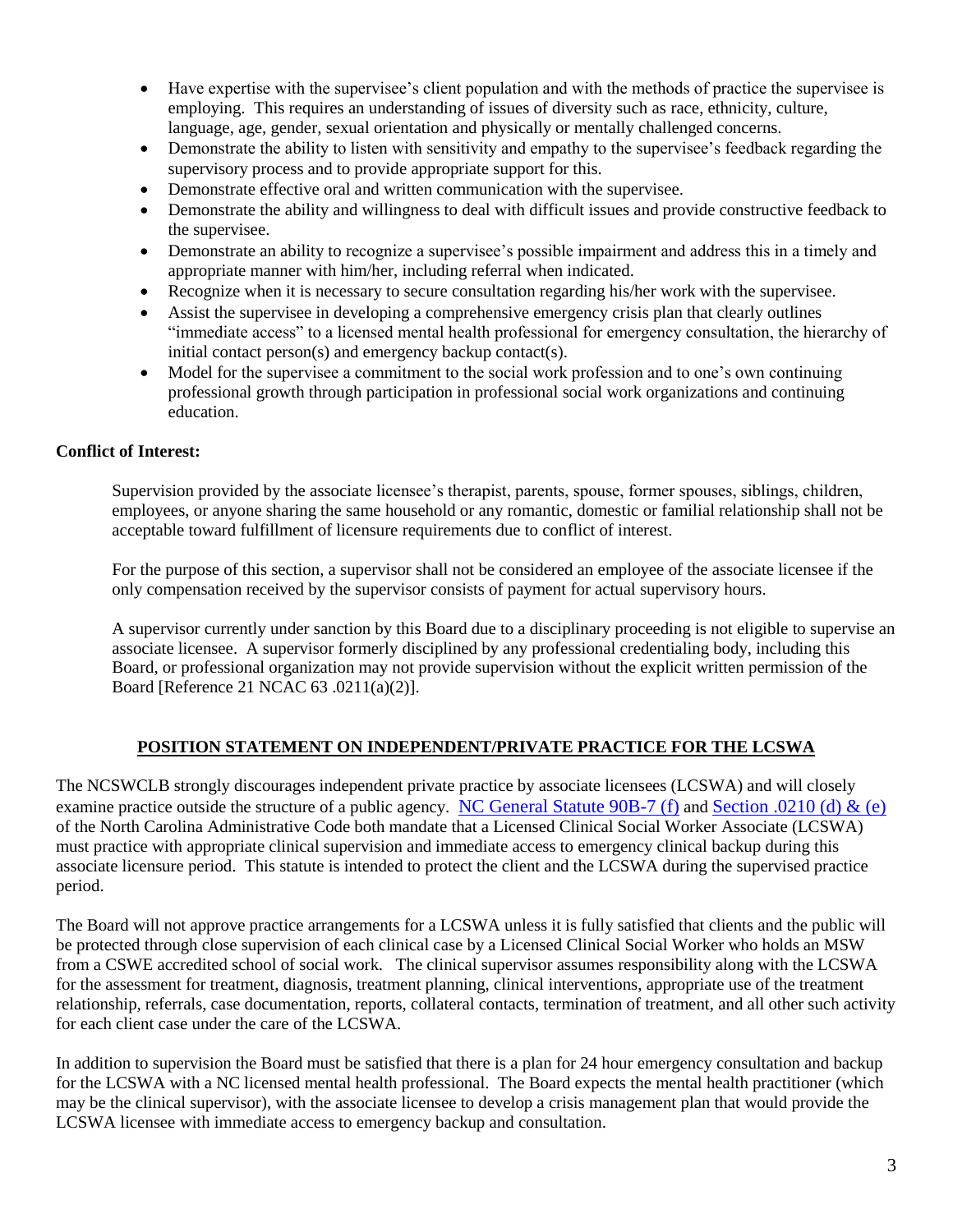- Have expertise with the supervisee's client population and with the methods of practice the supervisee is employing. This requires an understanding of issues of diversity such as race, ethnicity, culture, language, age, gender, sexual orientation and physically or mentally challenged concerns.
- Demonstrate the ability to listen with sensitivity and empathy to the supervisee's feedback regarding the supervisory process and to provide appropriate support for this.
- Demonstrate effective oral and written communication with the supervisee.
- Demonstrate the ability and willingness to deal with difficult issues and provide constructive feedback to the supervisee.
- Demonstrate an ability to recognize a supervisee's possible impairment and address this in a timely and appropriate manner with him/her, including referral when indicated.
- Recognize when it is necessary to secure consultation regarding his/her work with the supervisee.
- Assist the supervisee in developing a comprehensive emergency crisis plan that clearly outlines "immediate access" to a licensed mental health professional for emergency consultation, the hierarchy of initial contact person(s) and emergency backup contact(s).
- Model for the supervisee a commitment to the social work profession and to one's own continuing professional growth through participation in professional social work organizations and continuing education.

#### **Conflict of Interest:**

Supervision provided by the associate licensee's therapist, parents, spouse, former spouses, siblings, children, employees, or anyone sharing the same household or any romantic, domestic or familial relationship shall not be acceptable toward fulfillment of licensure requirements due to conflict of interest.

For the purpose of this section, a supervisor shall not be considered an employee of the associate licensee if the only compensation received by the supervisor consists of payment for actual supervisory hours.

A supervisor currently under sanction by this Board due to a disciplinary proceeding is not eligible to supervise an associate licensee. A supervisor formerly disciplined by any professional credentialing body, including this Board, or professional organization may not provide supervision without the explicit written permission of the Board [Reference 21 NCAC 63 .0211(a)(2)].

## **POSITION STATEMENT ON INDEPENDENT/PRIVATE PRACTICE FOR THE LCSWA**

The NCSWCLB strongly discourages independent private practice by associate licensees (LCSWA) and will closely examine practice outside the structure of a public agency. [NC General Statute 90B-7 \(f\)](https://ncswboard.gov/statute/) and [Section .0210 \(d\) & \(e\)](https://ncswboard.gov/administrative-codes/#.0210) of the North Carolina Administrative Code both mandate that a Licensed Clinical Social Worker Associate (LCSWA) must practice with appropriate clinical supervision and immediate access to emergency clinical backup during this associate licensure period. This statute is intended to protect the client and the LCSWA during the supervised practice period.

The Board will not approve practice arrangements for a LCSWA unless it is fully satisfied that clients and the public will be protected through close supervision of each clinical case by a Licensed Clinical Social Worker who holds an MSW from a CSWE accredited school of social work. The clinical supervisor assumes responsibility along with the LCSWA for the assessment for treatment, diagnosis, treatment planning, clinical interventions, appropriate use of the treatment relationship, referrals, case documentation, reports, collateral contacts, termination of treatment, and all other such activity for each client case under the care of the LCSWA.

In addition to supervision the Board must be satisfied that there is a plan for 24 hour emergency consultation and backup for the LCSWA with a NC licensed mental health professional. The Board expects the mental health practitioner (which may be the clinical supervisor), with the associate licensee to develop a crisis management plan that would provide the LCSWA licensee with immediate access to emergency backup and consultation.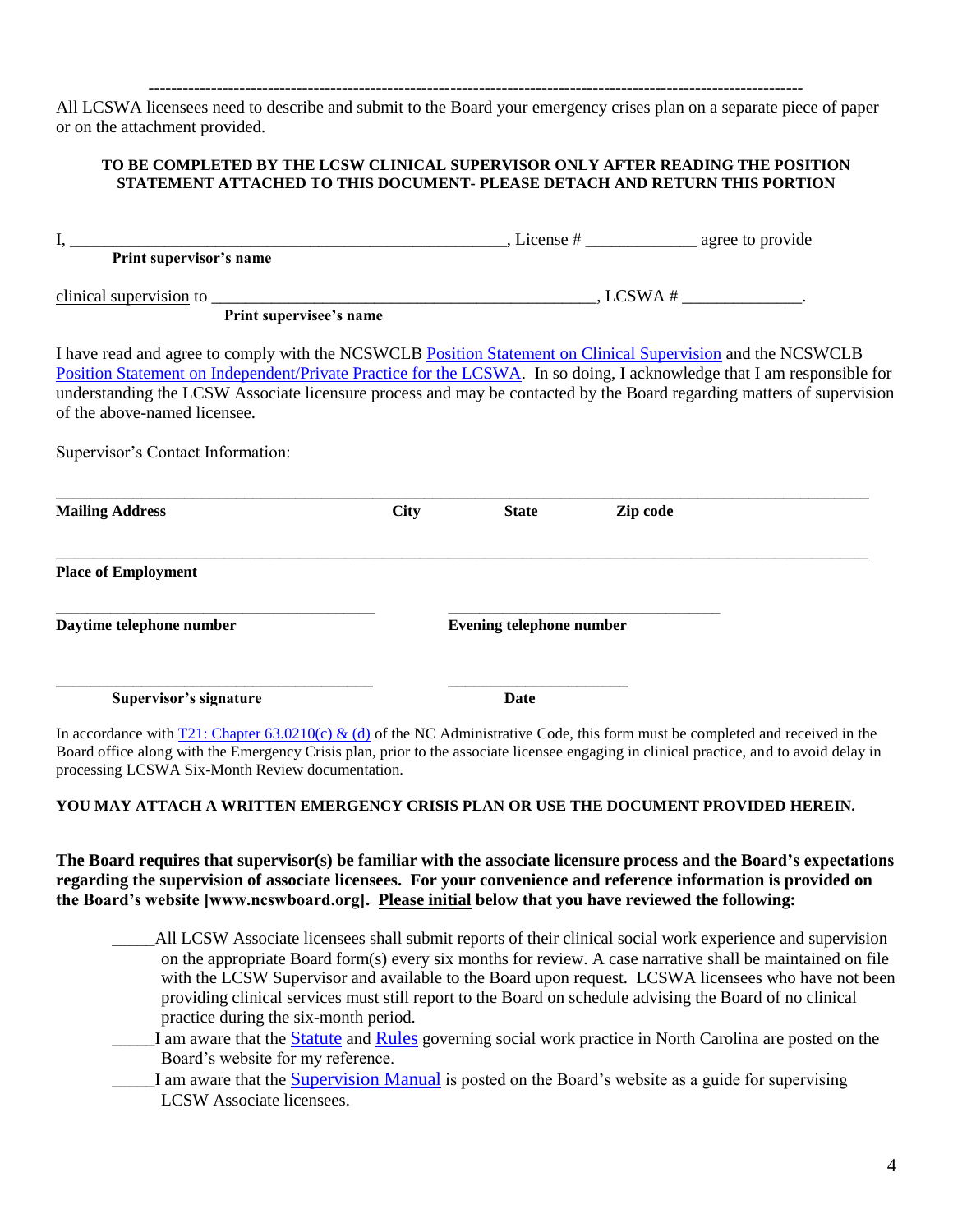------------------------------------------------------------------------------------------------------------------- All LCSWA licensees need to describe and submit to the Board your emergency crises plan on a separate piece of paper or on the attachment provided.

#### **TO BE COMPLETED BY THE LCSW CLINICAL SUPERVISOR ONLY AFTER READING THE POSITION STATEMENT ATTACHED TO THIS DOCUMENT- PLEASE DETACH AND RETURN THIS PORTION**

| Print supervisor's name                                                                                                                                                                                                                                                                                                                                                                                                             |             |                                                                                |          |  |  |
|-------------------------------------------------------------------------------------------------------------------------------------------------------------------------------------------------------------------------------------------------------------------------------------------------------------------------------------------------------------------------------------------------------------------------------------|-------------|--------------------------------------------------------------------------------|----------|--|--|
|                                                                                                                                                                                                                                                                                                                                                                                                                                     |             | $\frac{\text{clinical supervision}}{\text{Print supervised's name}}$ , LCSWA # |          |  |  |
| I have read and agree to comply with the NCSWCLB Position Statement on Clinical Supervision and the NCSWCLB<br>Position Statement on Independent/Private Practice for the LCSWA. In so doing, I acknowledge that I am responsible for<br>understanding the LCSW Associate licensure process and may be contacted by the Board regarding matters of supervision<br>of the above-named licensee.<br>Supervisor's Contact Information: |             |                                                                                |          |  |  |
| <b>Mailing Address</b>                                                                                                                                                                                                                                                                                                                                                                                                              | <b>City</b> | <b>State</b>                                                                   | Zip code |  |  |
| <b>Place of Employment</b>                                                                                                                                                                                                                                                                                                                                                                                                          |             |                                                                                |          |  |  |
| Daytime telephone number                                                                                                                                                                                                                                                                                                                                                                                                            |             | <b>Evening telephone number</b>                                                |          |  |  |
| Supervisor's signature                                                                                                                                                                                                                                                                                                                                                                                                              |             | Date                                                                           |          |  |  |

In accordance with [T21: Chapter 63.0210\(c\) & \(d\)](https://ncswboard.gov/administrative-codes/#.0210) of the NC Administrative Code, this form must be completed and received in the Board office along with the Emergency Crisis plan, prior to the associate licensee engaging in clinical practice, and to avoid delay in processing LCSWA Six-Month Review documentation.

#### **YOU MAY ATTACH A WRITTEN EMERGENCY CRISIS PLAN OR USE THE DOCUMENT PROVIDED HEREIN.**

**The Board requires that supervisor(s) be familiar with the associate licensure process and the Board's expectations regarding the supervision of associate licensees. For your convenience and reference information is provided on the Board's website [www.ncswboard.org]. Please initial below that you have reviewed the following:**

- \_\_\_\_\_All LCSW Associate licensees shall submit reports of their clinical social work experience and supervision on the appropriate Board form(s) every six months for review. A case narrative shall be maintained on file with the LCSW Supervisor and available to the Board upon request. LCSWA licensees who have not been providing clinical services must still report to the Board on schedule advising the Board of no clinical practice during the six-month period.
- I am aware that the [Statute](https://ncswboard.gov/statute/) and [Rules](https://ncswboard.gov/administrative-codes/) governing social work practice in North Carolina are posted on the Board's website for my reference.
- I am aware that the [Supervision Manual](https://ncswboard.gov/wp-content/uploads/2021/10/Supervision-Manual_FINAL2021.09.22.pdf) is posted on the Board's website as a guide for supervising LCSW Associate licensees.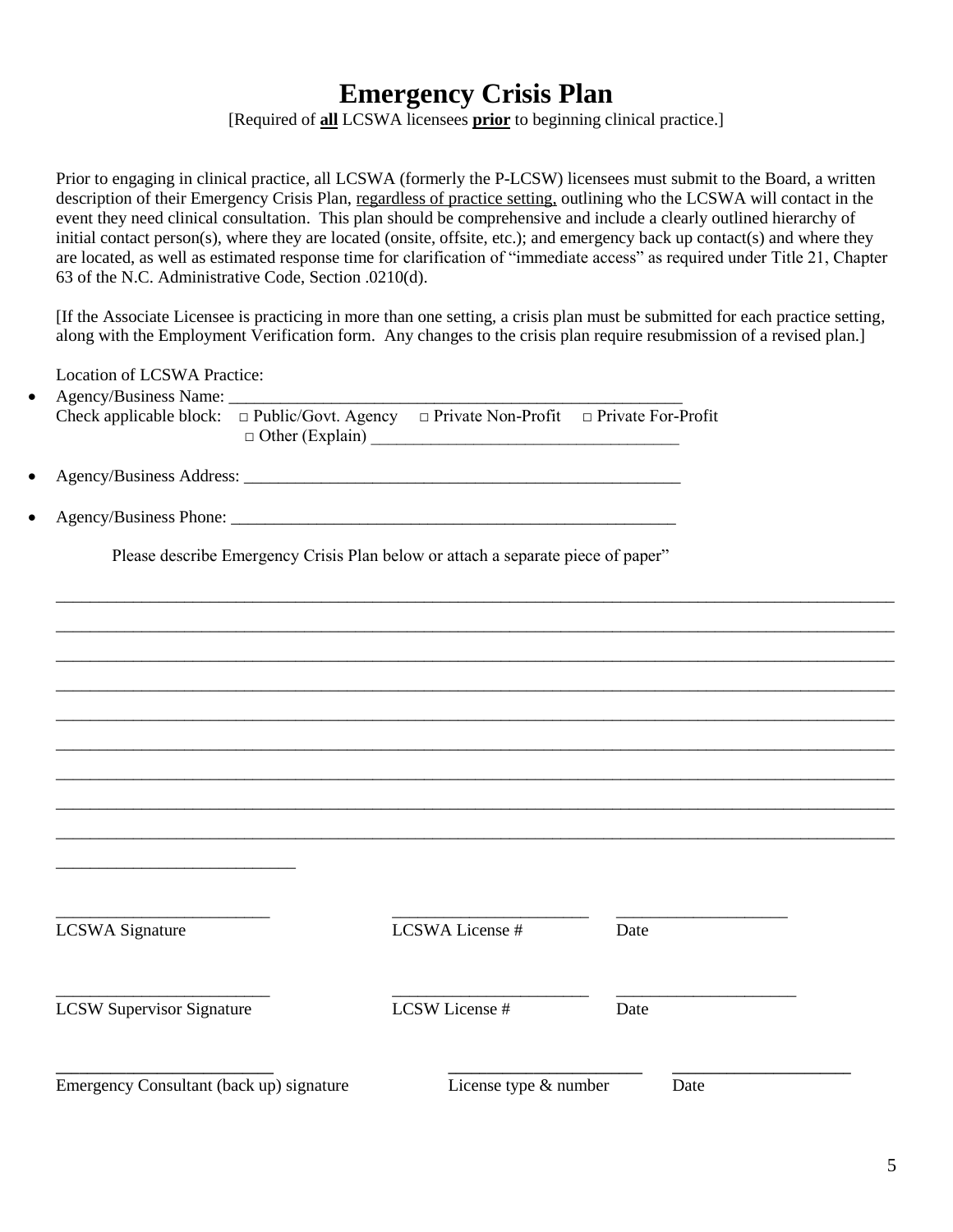# **Emergency Crisis Plan**

[Required of **all** LCSWA licensees **prior** to beginning clinical practice.]

Prior to engaging in clinical practice, all LCSWA (formerly the P-LCSW) licensees must submit to the Board, a written description of their Emergency Crisis Plan, regardless of practice setting, outlining who the LCSWA will contact in the event they need clinical consultation. This plan should be comprehensive and include a clearly outlined hierarchy of initial contact person(s), where they are located (onsite, offsite, etc.); and emergency back up contact(s) and where they are located, as well as estimated response time for clarification of "immediate access" as required under Title 21, Chapter 63 of the N.C. Administrative Code, Section .0210(d).

[If the Associate Licensee is practicing in more than one setting, a crisis plan must be submitted for each practice setting, along with the Employment Verification form. Any changes to the crisis plan require resubmission of a revised plan.]

Location of LCSWA Practice:

| Agency/Business Name:<br>Check applicable block: | $\Box$ Public/Govt. Agency $\Box$ Private Non-Profit $\Box$ Private For-Profit<br>□ Other (Explain) |      |
|--------------------------------------------------|-----------------------------------------------------------------------------------------------------|------|
|                                                  |                                                                                                     |      |
|                                                  |                                                                                                     |      |
|                                                  | Please describe Emergency Crisis Plan below or attach a separate piece of paper"                    |      |
|                                                  |                                                                                                     |      |
|                                                  |                                                                                                     |      |
|                                                  |                                                                                                     |      |
|                                                  |                                                                                                     |      |
|                                                  |                                                                                                     |      |
|                                                  |                                                                                                     |      |
|                                                  |                                                                                                     |      |
|                                                  |                                                                                                     |      |
|                                                  | LCSWA License #                                                                                     |      |
| <b>LCSWA</b> Signature                           |                                                                                                     | Date |
|                                                  |                                                                                                     |      |
| <b>LCSW Supervisor Signature</b>                 | LCSW License #                                                                                      | Date |
|                                                  |                                                                                                     |      |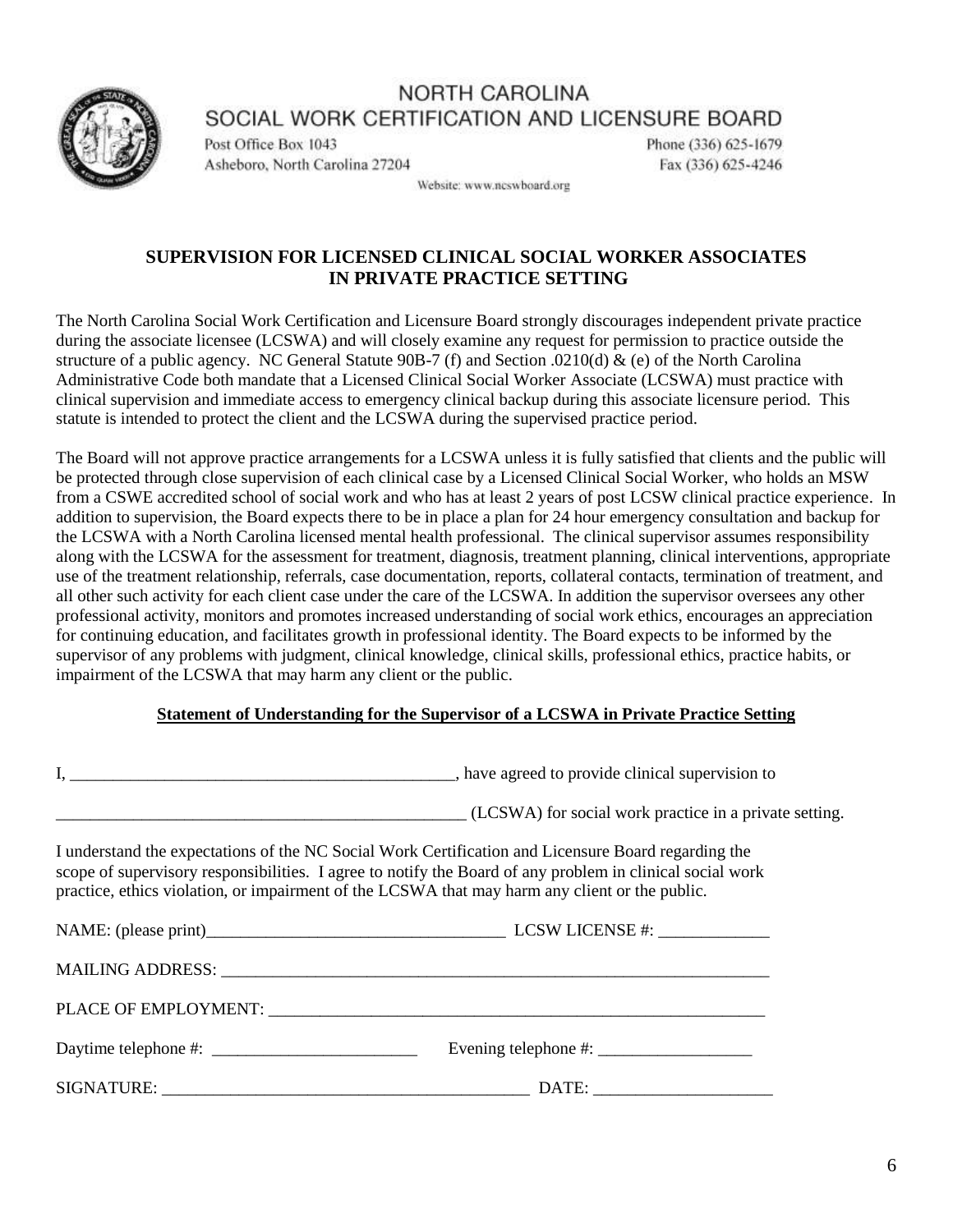

Post Office Box 1043 Asheboro, North Carolina 27204 Phone (336) 625-1679 Fax (336) 625-4246

Website: www.ncswboard.org

## **SUPERVISION FOR LICENSED CLINICAL SOCIAL WORKER ASSOCIATES IN PRIVATE PRACTICE SETTING**

The North Carolina Social Work Certification and Licensure Board strongly discourages independent private practice during the associate licensee (LCSWA) and will closely examine any request for permission to practice outside the structure of a public agency. NC General Statute 90B-7 (f) and Section .0210(d) & (e) of the North Carolina Administrative Code both mandate that a Licensed Clinical Social Worker Associate (LCSWA) must practice with clinical supervision and immediate access to emergency clinical backup during this associate licensure period. This statute is intended to protect the client and the LCSWA during the supervised practice period.

The Board will not approve practice arrangements for a LCSWA unless it is fully satisfied that clients and the public will be protected through close supervision of each clinical case by a Licensed Clinical Social Worker, who holds an MSW from a CSWE accredited school of social work and who has at least 2 years of post LCSW clinical practice experience. In addition to supervision, the Board expects there to be in place a plan for 24 hour emergency consultation and backup for the LCSWA with a North Carolina licensed mental health professional. The clinical supervisor assumes responsibility along with the LCSWA for the assessment for treatment, diagnosis, treatment planning, clinical interventions, appropriate use of the treatment relationship, referrals, case documentation, reports, collateral contacts, termination of treatment, and all other such activity for each client case under the care of the LCSWA. In addition the supervisor oversees any other professional activity, monitors and promotes increased understanding of social work ethics, encourages an appreciation for continuing education, and facilitates growth in professional identity. The Board expects to be informed by the supervisor of any problems with judgment, clinical knowledge, clinical skills, professional ethics, practice habits, or impairment of the LCSWA that may harm any client or the public.

## **Statement of Understanding for the Supervisor of a LCSWA in Private Practice Setting**

|                      | (LCSWA) for social work practice in a private setting.                                                                                                                                                                                                                                                             |  |  |
|----------------------|--------------------------------------------------------------------------------------------------------------------------------------------------------------------------------------------------------------------------------------------------------------------------------------------------------------------|--|--|
|                      | I understand the expectations of the NC Social Work Certification and Licensure Board regarding the<br>scope of supervisory responsibilities. I agree to notify the Board of any problem in clinical social work<br>practice, ethics violation, or impairment of the LCSWA that may harm any client or the public. |  |  |
|                      |                                                                                                                                                                                                                                                                                                                    |  |  |
|                      |                                                                                                                                                                                                                                                                                                                    |  |  |
|                      |                                                                                                                                                                                                                                                                                                                    |  |  |
| Daytime telephone #: |                                                                                                                                                                                                                                                                                                                    |  |  |
|                      |                                                                                                                                                                                                                                                                                                                    |  |  |